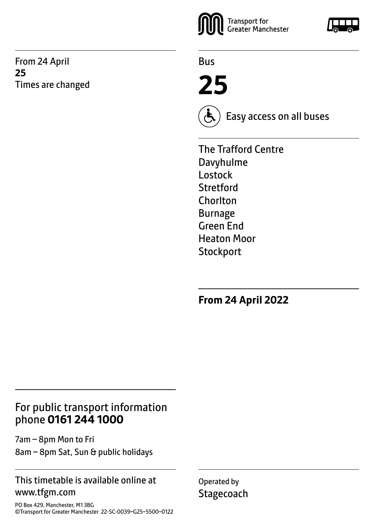From 24 April **25** Times are changed



Bus

**25**



Easy access on all buses

The Trafford Centre Davyhulme Lostock Stretford **Chorlton** Burnage Green End Heaton Moor **Stockport** 

**From 24 April 2022**

### For public transport information phone **0161 244 1000**

7am – 8pm Mon to Fri 8am – 8pm Sat, Sun & public holidays

#### This timetable is available online at www.tfgm.com

PO Box 429, Manchester, M1 3BG ©Transport for Greater Manchester 22-SC-0039–G25–5500–0122 Operated by **Stagecoach** 

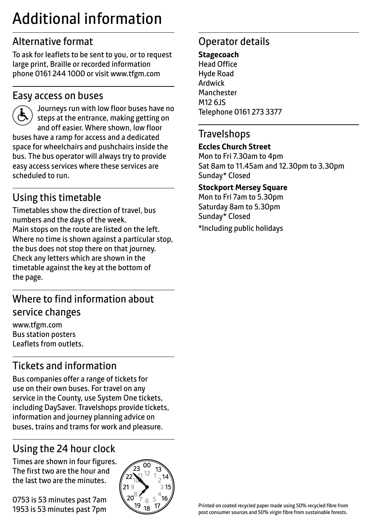# Additional information

### Alternative format

To ask for leaflets to be sent to you, or to request large print, Braille or recorded information phone 0161 244 1000 or visit www.tfgm.com

### Easy access on buses



 Journeys run with low floor buses have no steps at the entrance, making getting on and off easier. Where shown, low floor buses have a ramp for access and a dedicated space for wheelchairs and pushchairs inside the bus. The bus operator will always try to provide easy access services where these services are scheduled to run.

### Using this timetable

Timetables show the direction of travel, bus numbers and the days of the week. Main stops on the route are listed on the left. Where no time is shown against a particular stop, the bus does not stop there on that journey. Check any letters which are shown in the timetable against the key at the bottom of the page.

### Where to find information about service changes

www.tfgm.com Bus station posters Leaflets from outlets.

# Tickets and information

Bus companies offer a range of tickets for use on their own buses. For travel on any service in the County, use System One tickets, including DaySaver. Travelshops provide tickets, information and journey planning advice on buses, trains and trams for work and pleasure.

# Using the 24 hour clock

Times are shown in four figures. The first two are the hour and the last two are the minutes.

0753 is 53 minutes past 7am 1953 is 53 minutes past 7pm



### Operator details

**Stagecoach** Head Office Hyde Road Ardwick **Manchester** M12 6JS Telephone 0161 273 3377

#### **Travelshops**

#### **Eccles Church Street**

Mon to Fri 7.30am to 4pm Sat 8am to 11.45am and 12.30pm to 3.30pm Sunday\* Closed

#### **Stockport Mersey Square**

Mon to Fri 7am to 5.30pm Saturday 8am to 5.30pm Sunday\* Closed

\*Including public holidays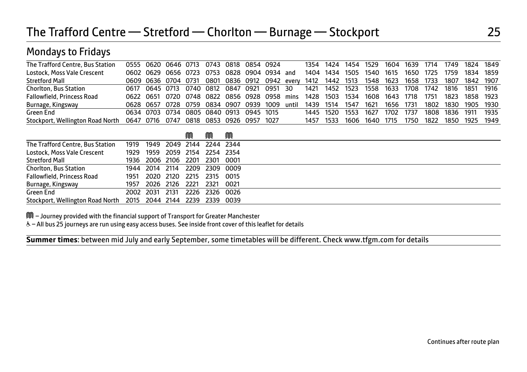| ◢                                |      |      |           |      |      |      |      |      |       |      |      |      |      |      |      |      |      |      |      |
|----------------------------------|------|------|-----------|------|------|------|------|------|-------|------|------|------|------|------|------|------|------|------|------|
| The Trafford Centre, Bus Station | 0555 | 0620 | 0646 0713 |      | 0743 | 0818 | 0854 | 0924 |       | 1354 | 1424 | 1454 | 1529 | 1604 | 1639 | 1714 | 1749 | 1824 | 1849 |
| Lostock, Moss Vale Crescent      | 0602 | 0629 | 0656      | 0723 | 0753 | 0828 | 0904 | 0934 | and   | 1404 | 1434 | 1505 | 1540 | 1615 | 1650 | 1725 | 1759 | 1834 | 1859 |
| <b>Stretford Mall</b>            | 0609 | 0636 | 0704      | 0731 | 0801 | 0836 | 0912 | 0942 | every | 1412 | 1442 | 1513 | 1548 | 1623 | 1658 | 1733 | 1807 | 1842 | 1907 |
| <b>Chorlton, Bus Station</b>     | 0617 | 0645 | 0713      | 0740 | 0812 | 0847 | 0921 | 0951 | 30    | 1421 | 1452 | 1523 | 1558 | 1633 | 1708 | 1742 | 1816 | 1851 | 1916 |
| Fallowfield, Princess Road       | 0622 | 0651 | 0720      | 0748 | 0822 | 0856 | 0928 | 0958 | mins  | 1428 | 1503 | 1534 | 1608 | 1643 | 1718 | 1751 | 1823 | 1858 | 1923 |
| Burnage, Kingsway                | 0628 | 0657 | 0728      | 0759 | 0834 | 0907 | 0939 | 1009 | until | 1439 | 1514 | 1547 | 1621 | 1656 | 1731 | 1802 | 1830 | 1905 | 1930 |
| Green End                        | 0634 | 0703 | 0734      | 0805 | 0840 | 0913 | 0945 | 1015 |       | 1445 | 1520 | 1553 | 1627 | 1702 | 1737 | 1808 | 1836 | 1911 | 1935 |
| Stockport, Wellington Road North | 0647 | 0716 | 0747      | 0818 | 0853 | 0926 | 0957 | 1027 |       | 1457 | 1533 | 1606 | 1640 | 1715 | 1750 | 1822 | 1850 | 1925 | 1949 |
|                                  |      |      |           | M    | M    | M    |      |      |       |      |      |      |      |      |      |      |      |      |      |
| The Trafford Centre, Bus Station | 1919 | 1949 | 2049      | 2144 | 2244 | 2344 |      |      |       |      |      |      |      |      |      |      |      |      |      |
| Lostock, Moss Vale Crescent      | 1929 | 1959 | 2059      | 2154 | 2254 | 2354 |      |      |       |      |      |      |      |      |      |      |      |      |      |
| <b>Stretford Mall</b>            | 1936 | 2006 | 2106      | 2201 | 2301 | 0001 |      |      |       |      |      |      |      |      |      |      |      |      |      |
| Chorlton, Bus Station            | 1944 | 2014 | 2114      | 2209 | 2309 | 0009 |      |      |       |      |      |      |      |      |      |      |      |      |      |
| Fallowfield, Princess Road       | 1951 | 2020 | 2120      | 2215 | 2315 | 0015 |      |      |       |      |      |      |      |      |      |      |      |      |      |
| Burnage, Kingsway                | 1957 | 2026 | 2126      | 2221 | 2321 | 0021 |      |      |       |      |      |      |      |      |      |      |      |      |      |
| Green End                        | 2002 | 2031 | 2131      | 2226 | 2326 | 0026 |      |      |       |      |      |      |      |      |      |      |      |      |      |
| Stockport, Wellington Road North | 2015 | 2044 | 2144      | 2239 | 2339 | 0039 |      |      |       |      |      |      |      |      |      |      |      |      |      |

M – Journey provided with the financial support of Transport for Greater Manchester

Mondays to Fridays

& - All bus 25 journeys are run using easy access buses. See inside front cover of this leaflet for details

 $\overline{a}$ **Summer times**: between mid July and early September, some timetables will be different. Check www.tfgm.com for details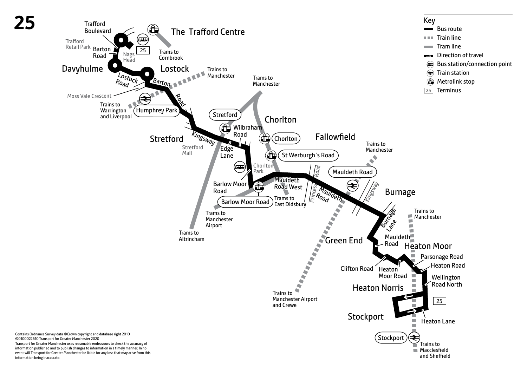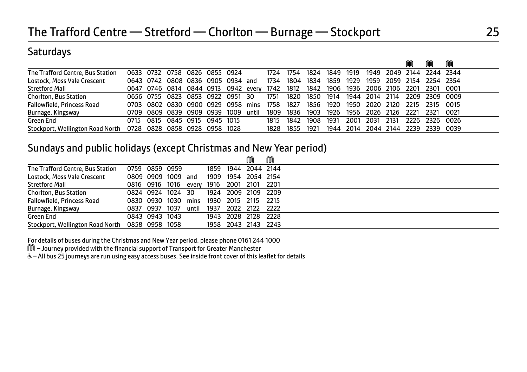### **Saturdays**

|                                   |                               |  |                                   |  |       |           |                |      |                                         |      |      |      | M | m                                                                                     | M |
|-----------------------------------|-------------------------------|--|-----------------------------------|--|-------|-----------|----------------|------|-----------------------------------------|------|------|------|---|---------------------------------------------------------------------------------------|---|
| The Trafford Centre, Bus Station  |                               |  | 0633 0732 0758 0826 0855 0924     |  |       |           | 1724 1754      | 1824 | 1849 1919                               |      |      |      |   | 1949 2049 2144 2244 2344                                                              |   |
| Lostock, Moss Vale Crescent       |                               |  | 0643 0742 0808 0836 0905 0934 and |  |       |           | 1734 1804 1834 |      | 1859                                    | 1929 |      |      |   | 1959 2059 2154 2254 2354                                                              |   |
| <b>Stretford Mall</b>             |                               |  |                                   |  |       |           |                |      |                                         |      |      |      |   | 0647 0746 0814 0844 0913 0942 every 1742 1812 1842 1906 1936 2006 2106 2201 2301 0001 |   |
| <b>Chorlton, Bus Station</b>      |                               |  | 0656 0755 0823 0853 0922 0951 30  |  |       |           |                |      | 1751 1820 1850 1914 1944 2014 2114      |      |      |      |   | 2209 2309 0009                                                                        |   |
| <b>Fallowfield, Princess Road</b> |                               |  | 0703 0802 0830 0900 0929 0958     |  | mins  | 1758 1827 |                | 1856 | 1920                                    |      |      |      |   | 1950 2020 2120 2215 2315 0015                                                         |   |
| Burnage, Kingsway                 |                               |  | 0709 0809 0839 0909 0939 1009     |  | until |           |                |      | 1809 1836 1903 1926 1956 2026 2126 2221 |      |      |      |   | 2321 0021                                                                             |   |
| Green End                         |                               |  | 0715 0815 0845 0915 0945 1015     |  |       | 1815      | 1842 1908      |      | 1931                                    | 2001 | 2031 | 2131 |   | 2226 2326 0026                                                                        |   |
| Stockport, Wellington Road North  | 0728 0828 0858 0928 0958 1028 |  |                                   |  |       |           | 1828 1855      | 1921 | 1944                                    |      |      |      |   | 2014 2044 2144 2239 2339 0039                                                         |   |

### Sundays and public holidays (except Christmas and New Year period)

|                                   |                |                    |      |       |      |                     | ⋒         | M    |  |
|-----------------------------------|----------------|--------------------|------|-------|------|---------------------|-----------|------|--|
| The Trafford Centre, Bus Station  | 0759 0859 0959 |                    |      |       |      | 1859 1944 2044 2144 |           |      |  |
| Lostock, Moss Vale Crescent       |                | 0809 0909 1009 and |      |       |      | 1909 1954           | 2054 2154 |      |  |
| <b>Stretford Mall</b>             |                | 0816 0916 1016     |      | everv |      | 1916 2001           | 2101      | 2201 |  |
| <b>Chorlton, Bus Station</b>      |                | 0824 0924 1024 30  |      |       |      | 1924 2009 2109 2209 |           |      |  |
| <b>Fallowfield, Princess Road</b> |                | 0830 0930 1030     |      | mins  |      | 1930 2015 2115      |           | 2215 |  |
| Burnage, Kingsway                 | 0837 0937      |                    | 1037 | until | 1937 | 2022 2122 2222      |           |      |  |
| Green End                         |                | 0843 0943 1043     |      |       |      | 1943 2028 2128 2228 |           |      |  |
| Stockport, Wellington Road North  | 0858 0958 1058 |                    |      |       |      | 1958 2043 2143 2243 |           |      |  |

For details of buses during the Christmas and New Year period, please phone 0161 244 1000

M – Journey provided with the financial support of Transport for Greater Manchester

& - All bus 25 journeys are run using easy access buses. See inside front cover of this leaflet for details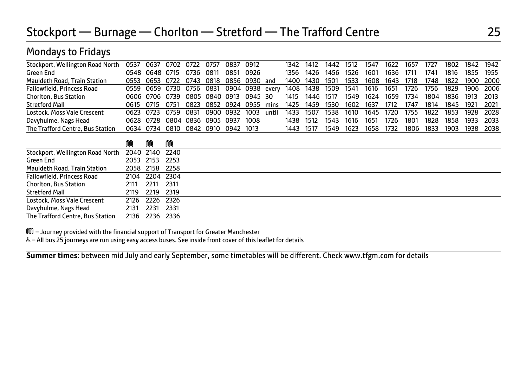| Stockport, Wellington Road North    | 0537 | 0637      | 0702 | 0722 | 0757      | 0837      | 0912      |       | 1342 | 1412 | 1442 | 1512 | 1547 | 1622 | 1657 | 1727 | 1802 | 1842 | 1942 |
|-------------------------------------|------|-----------|------|------|-----------|-----------|-----------|-------|------|------|------|------|------|------|------|------|------|------|------|
| Green End                           |      | 0548 0648 | 0715 | 0736 | 0811      | 0851      | 0926      |       | 1356 | 1426 | 1456 | 1526 | 1601 | 1636 | 1711 | 1741 | 1816 | 1855 | 1955 |
| <b>Mauldeth Road, Train Station</b> | 0553 | 0653      | 0722 | 0743 | 0818      | 0856      | 0930      | and   | 1400 | 1430 | 1501 | 1533 | 1608 | 1643 | 1718 | 1748 | 1822 | 1900 | 2000 |
| Fallowfield, Princess Road          | 0559 | 0659      | 0730 | 0756 | 0831      |           | 0904 0938 | every | 1408 | 1438 | 1509 | 1541 | 1616 | 1651 | 1726 | 1756 | 1829 | 1906 | 2006 |
| <b>Chorlton, Bus Station</b>        | 0606 | 0706      | 0739 | 0805 | 0840 0913 |           | 0945      | 30    | 1415 | 1446 | 1517 | 1549 | 1624 | 1659 | 1734 | 1804 | 1836 | 1913 | 2013 |
| <b>Stretford Mall</b>               | 0615 | 0715      | 0751 | 0823 | 0852      | 0924      | 0955      | mins  | 1425 | 1459 | 1530 | 1602 | 1637 | 1712 | 1747 | 1814 | 1845 | 1921 | 2021 |
| Lostock, Moss Vale Crescent         | 0623 | 0723      | 0759 | 0831 |           | 0900 0932 | 1003      | until | 1433 | 1507 | 1538 | 1610 | 1645 | 1720 | 1755 | 1822 | 1853 | 1928 | 2028 |
| Davyhulme, Nags Head                | 0628 | 0728      | 0804 | 0836 | 0905      | 0937      | 1008      |       | 1438 | 1512 | 1543 | 1616 | 1651 | 1726 | 1801 | 1828 | 1858 | 1933 | 2033 |
| The Trafford Centre, Bus Station    | 0634 | 0734      | 0810 | 0842 | 0910      | 0942      | 1013      |       | 1443 | 1517 | 1549 | 1623 | 1658 | 1732 | 1806 | 1833 | 1903 | 1938 | 2038 |
|                                     |      |           |      |      |           |           |           |       |      |      |      |      |      |      |      |      |      |      |      |
|                                     | M    | M         | M    |      |           |           |           |       |      |      |      |      |      |      |      |      |      |      |      |
| Stockport, Wellington Road North    | 2040 | 2140      | 2240 |      |           |           |           |       |      |      |      |      |      |      |      |      |      |      |      |
| Green End                           | 2053 | 2153      | 2253 |      |           |           |           |       |      |      |      |      |      |      |      |      |      |      |      |
| <b>Mauldeth Road, Train Station</b> | 2058 | 2158      | 2258 |      |           |           |           |       |      |      |      |      |      |      |      |      |      |      |      |
| Fallowfield, Princess Road          | 2104 | 2204      | 2304 |      |           |           |           |       |      |      |      |      |      |      |      |      |      |      |      |
| <b>Chorlton, Bus Station</b>        | 2111 | 2211      | 2311 |      |           |           |           |       |      |      |      |      |      |      |      |      |      |      |      |
| <b>Stretford Mall</b>               | 2119 | 2219      | 2319 |      |           |           |           |       |      |      |      |      |      |      |      |      |      |      |      |
| Lostock, Moss Vale Crescent         | 2126 | 2226      | 2326 |      |           |           |           |       |      |      |      |      |      |      |      |      |      |      |      |
| Davyhulme, Nags Head                | 2131 | 2231      | 2331 |      |           |           |           |       |      |      |      |      |      |      |      |      |      |      |      |
| The Trafford Centre, Bus Station    | 2136 | 2236      | 2336 |      |           |           |           |       |      |      |      |      |      |      |      |      |      |      |      |

M – Journey provided with the financial support of Transport for Greater Manchester

Mondays to Fridays

& - All bus 25 journeys are run using easy access buses. See inside front cover of this leaflet for details

 $\overline{a}$ **Summer times**: between mid July and early September, some timetables will be different. Check www.tfgm.com for details